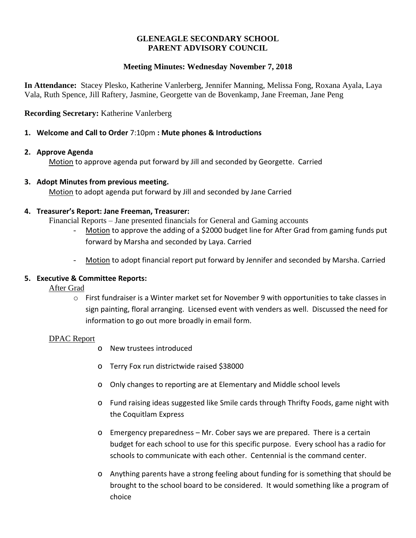# **GLENEAGLE SECONDARY SCHOOL PARENT ADVISORY COUNCIL**

# **Meeting Minutes: Wednesday November 7, 2018**

**In Attendance:** Stacey Plesko, Katherine Vanlerberg, Jennifer Manning, Melissa Fong, Roxana Ayala, Laya Vala, Ruth Spence, Jill Raftery, Jasmine, Georgette van de Bovenkamp, Jane Freeman, Jane Peng

# **Recording Secretary:** Katherine Vanlerberg

# **1. Welcome and Call to Order** 7:10pm **: Mute phones & Introductions**

## **2. Approve Agenda**

Motion to approve agenda put forward by Jill and seconded by Georgette. Carried

# **3. Adopt Minutes from previous meeting.**

Motion to adopt agenda put forward by Jill and seconded by Jane Carried

## **4. Treasurer's Report: Jane Freeman, Treasurer:**

Financial Reports – Jane presented financials for General and Gaming accounts

- Motion to approve the adding of a \$2000 budget line for After Grad from gaming funds put forward by Marsha and seconded by Laya. Carried
- Motion to adopt financial report put forward by Jennifer and seconded by Marsha. Carried

# **5. Executive & Committee Reports:**

After Grad

 $\circ$  First fundraiser is a Winter market set for November 9 with opportunities to take classes in sign painting, floral arranging. Licensed event with venders as well. Discussed the need for information to go out more broadly in email form.

## DPAC Report

- o New trustees introduced
- o Terry Fox run districtwide raised \$38000
- o Only changes to reporting are at Elementary and Middle school levels
- o Fund raising ideas suggested like Smile cards through Thrifty Foods, game night with the Coquitlam Express
- o Emergency preparedness Mr. Cober says we are prepared. There is a certain budget for each school to use for this specific purpose. Every school has a radio for schools to communicate with each other. Centennial is the command center.
- o Anything parents have a strong feeling about funding for is something that should be brought to the school board to be considered. It would something like a program of choice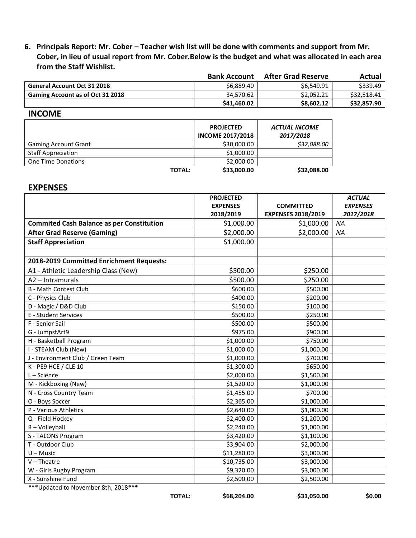6. Principals Report: Mr. Cober - Teacher wish list will be done with comments and support from Mr. Cober, in lieu of usual report from Mr. Cober. Below is the budget and what was allocated in each area **from the Staff Wishlist.**

|                                         | <b>Bank Account</b> | <b>After Grad Reserve</b> | Actual      |
|-----------------------------------------|---------------------|---------------------------|-------------|
| <b>General Account Oct 31 2018</b>      | \$6,889.40          | \$6,549.91                | \$339.49    |
| <b>Gaming Account as of Oct 31 2018</b> | 34.570.62           | \$2.052.21                | \$32.518.41 |
|                                         | \$41,460.02         | \$8,602.12                | \$32,857.90 |

## **INCOME**

|                             | <b>PROJECTED</b><br><b>INCOME 2017/2018</b> | <b>ACTUAL INCOME</b><br>2017/2018 |
|-----------------------------|---------------------------------------------|-----------------------------------|
| <b>Gaming Account Grant</b> | \$30,000.00                                 | \$32,088.00                       |
| <b>Staff Appreciation</b>   | \$1,000.00                                  |                                   |
| <b>One Time Donations</b>   | \$2,000.00                                  |                                   |
| <b>TOTAL:</b>               | \$33,000.00                                 | \$32,088.00                       |

## **EXPENSES**

|                                                  | <b>PROJECTED</b> |                           | <b>ACTUAL</b>   |
|--------------------------------------------------|------------------|---------------------------|-----------------|
|                                                  | <b>EXPENSES</b>  | <b>COMMITTED</b>          | <b>EXPENSES</b> |
|                                                  | 2018/2019        | <b>EXPENSES 2018/2019</b> | 2017/2018       |
| <b>Commited Cash Balance as per Constitution</b> | \$1,000.00       | \$1,000.00                | <b>NA</b>       |
| <b>After Grad Reserve (Gaming)</b>               | \$2,000.00       | \$2,000.00                | NA              |
| <b>Staff Appreciation</b>                        | \$1,000.00       |                           |                 |
|                                                  |                  |                           |                 |
| 2018-2019 Committed Enrichment Requests:         |                  |                           |                 |
| A1 - Athletic Leadership Class (New)             | \$500.00         | \$250.00                  |                 |
| A2 - Intramurals                                 | \$500.00         | \$250.00                  |                 |
| <b>B</b> - Math Contest Club                     | \$600.00         | \$500.00                  |                 |
| C - Physics Club                                 | \$400.00         | \$200.00                  |                 |
| D - Magic / D&D Club                             | \$150.00         | \$100.00                  |                 |
| E - Student Services                             | \$500.00         | \$250.00                  |                 |
| F - Senior Sail                                  | \$500.00         | \$500.00                  |                 |
| G - JumpstArt9                                   | \$975.00         | \$900.00                  |                 |
| H - Basketball Program                           | \$1,000.00       | \$750.00                  |                 |
| I - STEAM Club (New)                             | \$1,000.00       | \$1,000.00                |                 |
| J - Environment Club / Green Team                | \$1,000.00       | \$700.00                  |                 |
| K - PE9 HCE / CLE 10                             | \$1,300.00       | \$650.00                  |                 |
| $L - Science$                                    | \$2,000.00       | \$1,500.00                |                 |
| M - Kickboxing (New)                             | \$1,520.00       | \$1,000.00                |                 |
| N - Cross Country Team                           | \$1,455.00       | \$700.00                  |                 |
| O - Boys Soccer                                  | \$2,365.00       | \$1,000.00                |                 |
| P - Various Athletics                            | \$2,640.00       | \$1,000.00                |                 |
| Q - Field Hockey                                 | \$2,400.00       | \$1,200.00                |                 |
| R-Volleyball                                     | \$2,240.00       | \$1,000.00                |                 |
| S - TALONS Program                               | \$3,420.00       | \$1,100.00                |                 |
| T - Outdoor Club                                 | \$3,904.00       | \$2,000.00                |                 |
| $U - Music$                                      | \$11,280.00      | \$3,000.00                |                 |
| $V$ – Theatre                                    | \$10,735.00      | \$3,000.00                |                 |
| W - Girls Rugby Program                          | \$9,320.00       | \$3,000.00                |                 |
| X - Sunshine Fund<br><b>BBAA444</b>              | \$2,500.00       | \$2,500.00                |                 |

\*\*\*Updated to November 8th, 2018\*\*\*

**TOTAL: \$68,204.00 \$31,050.00 \$0.00**